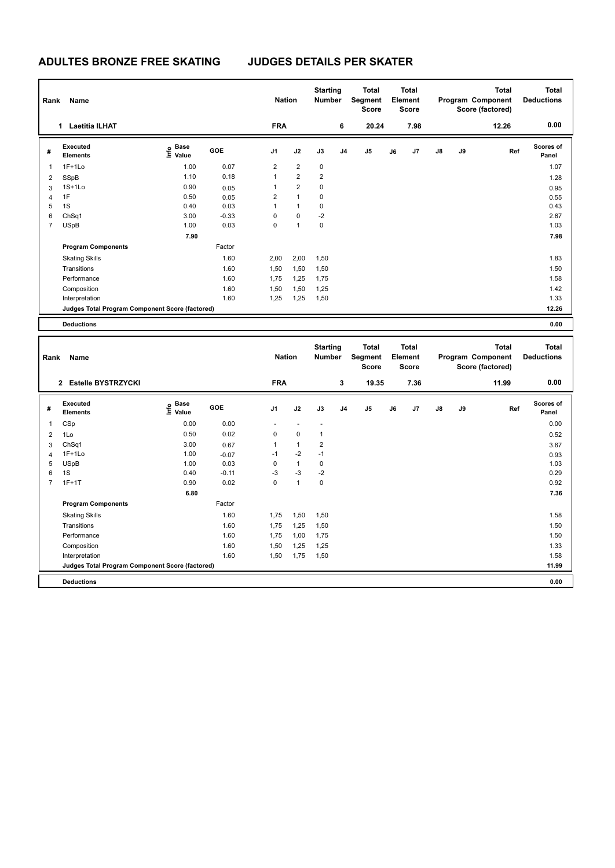| Name<br>Rank |                                                 |                                  |            |                | <b>Nation</b>  |                | <b>Starting</b><br><b>Number</b> | <b>Total</b><br>Segment<br><b>Score</b> | <b>Total</b><br>Element<br><b>Score</b> |      |               |    | <b>Total</b><br>Program Component<br>Score (factored) | <b>Total</b><br><b>Deductions</b> |
|--------------|-------------------------------------------------|----------------------------------|------------|----------------|----------------|----------------|----------------------------------|-----------------------------------------|-----------------------------------------|------|---------------|----|-------------------------------------------------------|-----------------------------------|
|              | <b>Laetitia ILHAT</b><br>1                      |                                  |            | <b>FRA</b>     |                |                | 6                                | 20.24                                   |                                         | 7.98 |               |    | 12.26                                                 | 0.00                              |
| #            | Executed<br><b>Elements</b>                     | <b>Base</b><br>e Base<br>⊑ Value | <b>GOE</b> | J <sub>1</sub> | J2             | J3             | J <sub>4</sub>                   | J <sub>5</sub>                          | J6                                      | J7   | $\mathsf{J}8$ | J9 | Ref                                                   | Scores of<br>Panel                |
| $\mathbf 1$  | $1F+1Lo$                                        | 1.00                             | 0.07       | $\overline{2}$ | $\overline{2}$ | 0              |                                  |                                         |                                         |      |               |    |                                                       | 1.07                              |
| 2            | SSpB                                            | 1.10                             | 0.18       | 1              | $\overline{2}$ | $\overline{2}$ |                                  |                                         |                                         |      |               |    |                                                       | 1.28                              |
| 3            | $1S+1Lo$                                        | 0.90                             | 0.05       | 1              | $\overline{2}$ | 0              |                                  |                                         |                                         |      |               |    |                                                       | 0.95                              |
| 4            | 1F                                              | 0.50                             | 0.05       | $\overline{2}$ | $\mathbf{1}$   | 0              |                                  |                                         |                                         |      |               |    |                                                       | 0.55                              |
| 5            | 1S                                              | 0.40                             | 0.03       | 1              | $\mathbf{1}$   | 0              |                                  |                                         |                                         |      |               |    |                                                       | 0.43                              |
| 6            | ChSq1                                           | 3.00                             | $-0.33$    | $\Omega$       | $\mathbf 0$    | $-2$           |                                  |                                         |                                         |      |               |    |                                                       | 2.67                              |
| 7            | USpB                                            | 1.00                             | 0.03       | 0              | $\overline{1}$ | 0              |                                  |                                         |                                         |      |               |    |                                                       | 1.03                              |
|              |                                                 | 7.90                             |            |                |                |                |                                  |                                         |                                         |      |               |    |                                                       | 7.98                              |
|              | <b>Program Components</b>                       |                                  | Factor     |                |                |                |                                  |                                         |                                         |      |               |    |                                                       |                                   |
|              | <b>Skating Skills</b>                           |                                  | 1.60       | 2,00           | 2,00           | 1,50           |                                  |                                         |                                         |      |               |    |                                                       | 1.83                              |
|              | Transitions                                     |                                  | 1.60       | 1,50           | 1,50           | 1,50           |                                  |                                         |                                         |      |               |    |                                                       | 1.50                              |
|              | Performance                                     |                                  | 1.60       | 1,75           | 1,25           | 1,75           |                                  |                                         |                                         |      |               |    |                                                       | 1.58                              |
|              | Composition                                     |                                  | 1.60       | 1,50           | 1,50           | 1,25           |                                  |                                         |                                         |      |               |    |                                                       | 1.42                              |
|              | Interpretation                                  |                                  | 1.60       | 1,25           | 1,25           | 1,50           |                                  |                                         |                                         |      |               |    |                                                       | 1.33                              |
|              | Judges Total Program Component Score (factored) |                                  |            |                |                |                |                                  |                                         |                                         |      |               |    |                                                       | 12.26                             |
|              | <b>Deductions</b>                               |                                  |            |                |                |                |                                  |                                         |                                         |      |               |    |                                                       | 0.00                              |
|              |                                                 |                                  |            |                |                |                |                                  |                                         |                                         |      |               |    |                                                       |                                   |

| Rank           | Name                                            |                                         |         |                | <b>Nation</b>  |                          | <b>Starting</b><br><b>Number</b> | <b>Total</b><br>Segment<br><b>Score</b> | <b>Total</b><br>Element<br><b>Score</b> |                |               |    | <b>Total</b><br>Program Component<br>Score (factored) | <b>Total</b><br><b>Deductions</b> |
|----------------|-------------------------------------------------|-----------------------------------------|---------|----------------|----------------|--------------------------|----------------------------------|-----------------------------------------|-----------------------------------------|----------------|---------------|----|-------------------------------------------------------|-----------------------------------|
|                | 2 Estelle BYSTRZYCKI                            |                                         |         | <b>FRA</b>     |                |                          | 3                                | 19.35                                   |                                         | 7.36           |               |    | 11.99                                                 | 0.00                              |
| #              | Executed<br><b>Elements</b>                     | $\mathsf{E}$ Base<br>$\mathsf{E}$ Value | GOE     | J <sub>1</sub> | J2             | J3                       | J <sub>4</sub>                   | J <sub>5</sub>                          | J6                                      | J <sub>7</sub> | $\mathsf{J}8$ | J9 | Ref                                                   | <b>Scores of</b><br>Panel         |
| 1              | CSp                                             | 0.00                                    | 0.00    | ٠              | ٠              | $\overline{\phantom{a}}$ |                                  |                                         |                                         |                |               |    |                                                       | 0.00                              |
| $\overline{2}$ | 1Lo                                             | 0.50                                    | 0.02    | 0              | $\mathbf 0$    | $\mathbf{1}$             |                                  |                                         |                                         |                |               |    |                                                       | 0.52                              |
| 3              | ChSq1                                           | 3.00                                    | 0.67    | 1              | $\overline{1}$ | 2                        |                                  |                                         |                                         |                |               |    |                                                       | 3.67                              |
| $\overline{4}$ | $1F+1Lo$                                        | 1.00                                    | $-0.07$ | $-1$           | $-2$           | $-1$                     |                                  |                                         |                                         |                |               |    |                                                       | 0.93                              |
| 5              | <b>USpB</b>                                     | 1.00                                    | 0.03    | 0              | $\overline{1}$ | 0                        |                                  |                                         |                                         |                |               |    |                                                       | 1.03                              |
| 6              | 1S                                              | 0.40                                    | $-0.11$ | $-3$           | $-3$           | $-2$                     |                                  |                                         |                                         |                |               |    |                                                       | 0.29                              |
| $\overline{7}$ | $1F+1T$                                         | 0.90                                    | 0.02    | 0              | $\overline{1}$ | $\mathbf 0$              |                                  |                                         |                                         |                |               |    |                                                       | 0.92                              |
|                |                                                 | 6.80                                    |         |                |                |                          |                                  |                                         |                                         |                |               |    |                                                       | 7.36                              |
|                | <b>Program Components</b>                       |                                         | Factor  |                |                |                          |                                  |                                         |                                         |                |               |    |                                                       |                                   |
|                | <b>Skating Skills</b>                           |                                         | 1.60    | 1,75           | 1,50           | 1,50                     |                                  |                                         |                                         |                |               |    |                                                       | 1.58                              |
|                | Transitions                                     |                                         | 1.60    | 1,75           | 1,25           | 1,50                     |                                  |                                         |                                         |                |               |    |                                                       | 1.50                              |
|                | Performance                                     |                                         | 1.60    | 1,75           | 1,00           | 1,75                     |                                  |                                         |                                         |                |               |    |                                                       | 1.50                              |
|                | Composition                                     |                                         | 1.60    | 1,50           | 1,25           | 1,25                     |                                  |                                         |                                         |                |               |    |                                                       | 1.33                              |
|                | Interpretation                                  |                                         | 1.60    | 1,50           | 1,75           | 1,50                     |                                  |                                         |                                         |                |               |    |                                                       | 1.58                              |
|                | Judges Total Program Component Score (factored) |                                         |         |                |                |                          |                                  |                                         |                                         |                |               |    |                                                       | 11.99                             |
|                | <b>Deductions</b>                               |                                         |         |                |                |                          |                                  |                                         |                                         |                |               |    |                                                       | 0.00                              |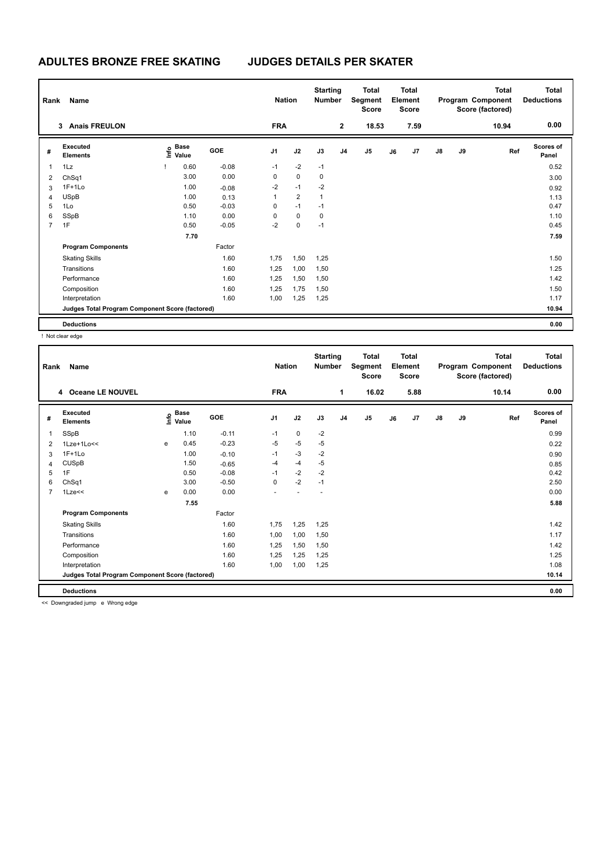| Name<br>Rank   |                                                 |  |                           | <b>Nation</b> |                | <b>Starting</b><br><b>Number</b> |              | <b>Total</b><br>Segment<br><b>Score</b> | Total<br>Element<br><b>Score</b> |    |                |               | <b>Total</b><br>Program Component<br>Score (factored) | Total<br><b>Deductions</b> |                           |
|----------------|-------------------------------------------------|--|---------------------------|---------------|----------------|----------------------------------|--------------|-----------------------------------------|----------------------------------|----|----------------|---------------|-------------------------------------------------------|----------------------------|---------------------------|
|                | <b>Anais FREULON</b><br>3                       |  |                           |               | <b>FRA</b>     |                                  |              | $\mathbf 2$                             | 18.53                            |    | 7.59           |               |                                                       | 10.94                      | 0.00                      |
| #              | Executed<br><b>Elements</b>                     |  | Base<br>e Base<br>⊆ Value | GOE           | J <sub>1</sub> | J2                               | J3           | J <sub>4</sub>                          | J5                               | J6 | J <sub>7</sub> | $\mathsf{J}8$ | J9                                                    | Ref                        | <b>Scores of</b><br>Panel |
| $\mathbf 1$    | 1Lz                                             |  | 0.60                      | $-0.08$       | $-1$           | $-2$                             | $-1$         |                                         |                                  |    |                |               |                                                       |                            | 0.52                      |
| $\overline{2}$ | ChSq1                                           |  | 3.00                      | 0.00          | 0              | $\mathbf 0$                      | $\mathbf 0$  |                                         |                                  |    |                |               |                                                       |                            | 3.00                      |
| 3              | $1F+1Lo$                                        |  | 1.00                      | $-0.08$       | $-2$           | $-1$                             | $-2$         |                                         |                                  |    |                |               |                                                       |                            | 0.92                      |
| 4              | <b>USpB</b>                                     |  | 1.00                      | 0.13          | 1              | $\overline{2}$                   | $\mathbf{1}$ |                                         |                                  |    |                |               |                                                       |                            | 1.13                      |
| 5              | 1Lo                                             |  | 0.50                      | $-0.03$       | 0              | $-1$                             | $-1$         |                                         |                                  |    |                |               |                                                       |                            | 0.47                      |
| 6              | SSpB                                            |  | 1.10                      | 0.00          | 0              | $\mathbf 0$                      | 0            |                                         |                                  |    |                |               |                                                       |                            | 1.10                      |
| $\overline{7}$ | 1F                                              |  | 0.50                      | $-0.05$       | $-2$           | $\mathbf 0$                      | $-1$         |                                         |                                  |    |                |               |                                                       |                            | 0.45                      |
|                |                                                 |  | 7.70                      |               |                |                                  |              |                                         |                                  |    |                |               |                                                       |                            | 7.59                      |
|                | <b>Program Components</b>                       |  |                           | Factor        |                |                                  |              |                                         |                                  |    |                |               |                                                       |                            |                           |
|                | <b>Skating Skills</b>                           |  |                           | 1.60          | 1,75           | 1,50                             | 1,25         |                                         |                                  |    |                |               |                                                       |                            | 1.50                      |
|                | Transitions                                     |  |                           | 1.60          | 1,25           | 1,00                             | 1,50         |                                         |                                  |    |                |               |                                                       |                            | 1.25                      |
|                | Performance                                     |  |                           | 1.60          | 1,25           | 1,50                             | 1,50         |                                         |                                  |    |                |               |                                                       |                            | 1.42                      |
|                | Composition                                     |  |                           | 1.60          | 1,25           | 1,75                             | 1,50         |                                         |                                  |    |                |               |                                                       |                            | 1.50                      |
|                | Interpretation                                  |  |                           | 1.60          | 1,00           | 1,25                             | 1,25         |                                         |                                  |    |                |               |                                                       |                            | 1.17                      |
|                | Judges Total Program Component Score (factored) |  |                           |               |                |                                  |              |                                         |                                  |    |                |               |                                                       |                            | 10.94                     |
|                | <b>Deductions</b>                               |  |                           |               |                |                                  |              |                                         |                                  |    |                |               |                                                       |                            | 0.00                      |

! Not clear edge

| Rank           | Name                                            |   |                                                                               |            | <b>Nation</b>  |             | <b>Starting</b><br><b>Number</b> |                | <b>Total</b><br>Segment<br><b>Score</b> |    | <b>Total</b><br>Element<br><b>Score</b> |               |    | <b>Total</b><br>Program Component<br>Score (factored) | <b>Total</b><br><b>Deductions</b> |
|----------------|-------------------------------------------------|---|-------------------------------------------------------------------------------|------------|----------------|-------------|----------------------------------|----------------|-----------------------------------------|----|-----------------------------------------|---------------|----|-------------------------------------------------------|-----------------------------------|
|                | 4 Oceane LE NOUVEL                              |   |                                                                               |            | <b>FRA</b>     |             |                                  | 1              | 16.02                                   |    | 5.88                                    |               |    | 10.14                                                 | 0.00                              |
| #              | Executed<br><b>Elements</b>                     |   | $\overset{\circ}{\text{\sf E}}$ Base<br>$\overset{\circ}{\text{\sf E}}$ Value | <b>GOE</b> | J <sub>1</sub> | J2          | J3                               | J <sub>4</sub> | J5                                      | J6 | J <sub>7</sub>                          | $\mathsf{J}8$ | J9 | Ref                                                   | Scores of<br>Panel                |
| 1              | SSpB                                            |   | 1.10                                                                          | $-0.11$    | $-1$           | $\mathbf 0$ | $-2$                             |                |                                         |    |                                         |               |    |                                                       | 0.99                              |
| 2              | 1Lze+1Lo<<                                      | e | 0.45                                                                          | $-0.23$    | -5             | $-5$        | $-5$                             |                |                                         |    |                                         |               |    |                                                       | 0.22                              |
| 3              | $1F+1Lo$                                        |   | 1.00                                                                          | $-0.10$    | $-1$           | $-3$        | $-2$                             |                |                                         |    |                                         |               |    |                                                       | 0.90                              |
| 4              | <b>CUSpB</b>                                    |   | 1.50                                                                          | $-0.65$    | -4             | -4          | $-5$                             |                |                                         |    |                                         |               |    |                                                       | 0.85                              |
| 5              | 1F                                              |   | 0.50                                                                          | $-0.08$    | $-1$           | $-2$        | $-2$                             |                |                                         |    |                                         |               |    |                                                       | 0.42                              |
| 6              | ChSq1                                           |   | 3.00                                                                          | $-0.50$    | $\mathbf 0$    | $-2$        | $-1$                             |                |                                         |    |                                         |               |    |                                                       | 2.50                              |
| $\overline{7}$ | $1$ Lze $<<$                                    | e | 0.00                                                                          | 0.00       |                |             |                                  |                |                                         |    |                                         |               |    |                                                       | 0.00                              |
|                |                                                 |   | 7.55                                                                          |            |                |             |                                  |                |                                         |    |                                         |               |    |                                                       | 5.88                              |
|                | <b>Program Components</b>                       |   |                                                                               | Factor     |                |             |                                  |                |                                         |    |                                         |               |    |                                                       |                                   |
|                | <b>Skating Skills</b>                           |   |                                                                               | 1.60       | 1,75           | 1,25        | 1,25                             |                |                                         |    |                                         |               |    |                                                       | 1.42                              |
|                | Transitions                                     |   |                                                                               | 1.60       | 1,00           | 1,00        | 1,50                             |                |                                         |    |                                         |               |    |                                                       | 1.17                              |
|                | Performance                                     |   |                                                                               | 1.60       | 1,25           | 1,50        | 1,50                             |                |                                         |    |                                         |               |    |                                                       | 1.42                              |
|                | Composition                                     |   |                                                                               | 1.60       | 1,25           | 1,25        | 1,25                             |                |                                         |    |                                         |               |    |                                                       | 1.25                              |
|                | Interpretation                                  |   |                                                                               | 1.60       | 1,00           | 1,00        | 1,25                             |                |                                         |    |                                         |               |    |                                                       | 1.08                              |
|                | Judges Total Program Component Score (factored) |   |                                                                               |            |                |             |                                  |                |                                         |    |                                         |               |    |                                                       | 10.14                             |
|                | <b>Deductions</b>                               |   |                                                                               |            |                |             |                                  |                |                                         |    |                                         |               |    |                                                       | 0.00                              |

<< Downgraded jump e Wrong edge